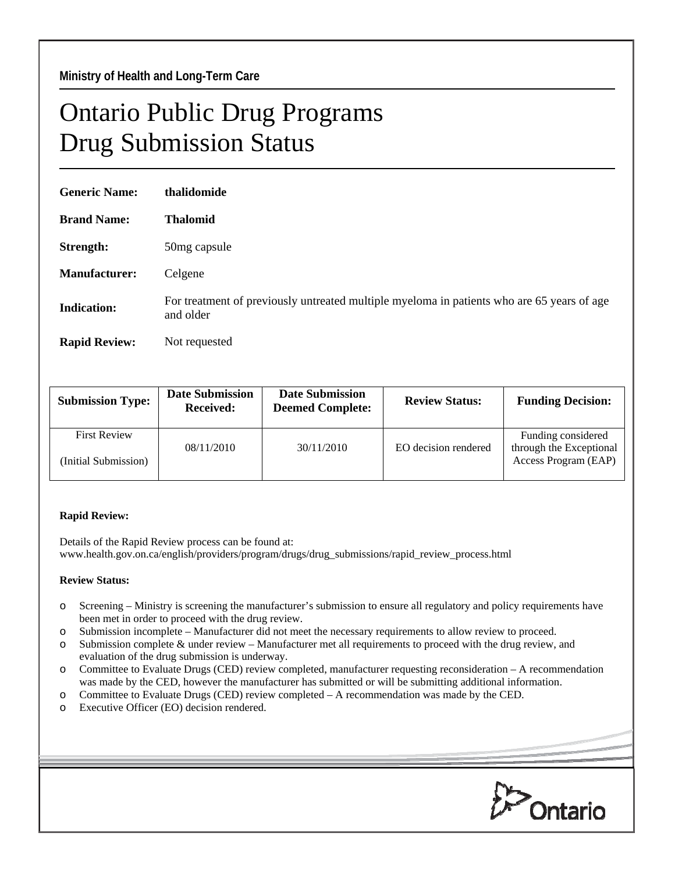## Ontario Public Drug Programs Drug Submission Status

| <b>Generic Name:</b> | thalidomide                                                                                             |
|----------------------|---------------------------------------------------------------------------------------------------------|
| <b>Brand Name:</b>   | <b>Thalomid</b>                                                                                         |
| Strength:            | 50mg capsule                                                                                            |
| Manufacturer:        | Celgene                                                                                                 |
| <b>Indication:</b>   | For treatment of previously untreated multiple myeloma in patients who are 65 years of age<br>and older |
| <b>Rapid Review:</b> | Not requested                                                                                           |

| <b>Submission Type:</b> | <b>Date Submission</b><br><b>Received:</b> | <b>Date Submission</b><br><b>Deemed Complete:</b> | <b>Review Status:</b> | <b>Funding Decision:</b>                      |
|-------------------------|--------------------------------------------|---------------------------------------------------|-----------------------|-----------------------------------------------|
| <b>First Review</b>     | 08/11/2010                                 | 30/11/2010                                        | EO decision rendered  | Funding considered<br>through the Exceptional |
| (Initial Submission)    |                                            |                                                   |                       | Access Program (EAP)                          |

## **Rapid Review:**

Details of the Rapid Review process can be found at: www.health.gov.on.ca/english/providers/program/drugs/drug\_submissions/rapid\_review\_process.html

## **Review Status:**

- o Screening Ministry is screening the manufacturer's submission to ensure all regulatory and policy requirements have been met in order to proceed with the drug review.
- o Submission incomplete Manufacturer did not meet the necessary requirements to allow review to proceed.
- o Submission complete & under review Manufacturer met all requirements to proceed with the drug review, and evaluation of the drug submission is underway.
- o Committee to Evaluate Drugs (CED) review completed, manufacturer requesting reconsideration A recommendation was made by the CED, however the manufacturer has submitted or will be submitting additional information.
- o Committee to Evaluate Drugs (CED) review completed A recommendation was made by the CED.
- o Executive Officer (EO) decision rendered.